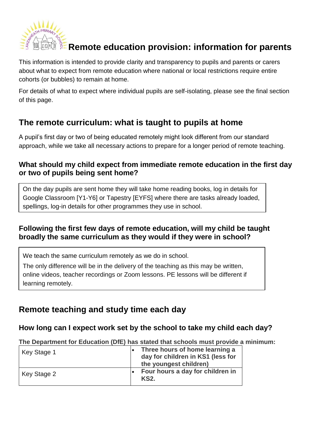

# **Remote education provision: information for parents**

This information is intended to provide clarity and transparency to pupils and parents or carers about what to expect from remote education where national or local restrictions require entire cohorts (or bubbles) to remain at home.

For details of what to expect where individual pupils are self-isolating, please see the final section of this page.

# **The remote curriculum: what is taught to pupils at home**

A pupil's first day or two of being educated remotely might look different from our standard approach, while we take all necessary actions to prepare for a longer period of remote teaching.

### **What should my child expect from immediate remote education in the first day or two of pupils being sent home?**

On the day pupils are sent home they will take home reading books, log in details for Google Classroom [Y1-Y6] or Tapestry [EYFS] where there are tasks already loaded, spellings, log-in details for other programmes they use in school.

### **Following the first few days of remote education, will my child be taught broadly the same curriculum as they would if they were in school?**

We teach the same curriculum remotely as we do in school.

The only difference will be in the delivery of the teaching as this may be written, online videos, teacher recordings or Zoom lessons. PE lessons will be different if learning remotely.

# **Remote teaching and study time each day**

#### **How long can I expect work set by the school to take my child each day?**

**The Department for Education (DfE) has stated that schools must provide a minimum:**

| Key Stage 1 | Three hours of home learning a<br>day for children in KS1 (less for<br>the youngest children) |
|-------------|-----------------------------------------------------------------------------------------------|
| Key Stage 2 | Four hours a day for children in<br><b>KS2.</b>                                               |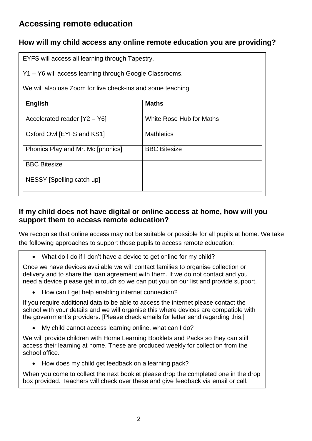# **Accessing remote education**

## **How will my child access any online remote education you are providing?**

EYFS will access all learning through Tapestry.

Y1 – Y6 will access learning through Google Classrooms.

We will also use Zoom for live check-ins and some teaching.

| English                           | <b>Maths</b>             |
|-----------------------------------|--------------------------|
| Accelerated reader $[Y2 - Y6]$    | White Rose Hub for Maths |
| Oxford Owl [EYFS and KS1]         | <b>Mathletics</b>        |
| Phonics Play and Mr. Mc [phonics] | <b>BBC Bitesize</b>      |
| <b>BBC Bitesize</b>               |                          |
| NESSY [Spelling catch up]         |                          |

### **If my child does not have digital or online access at home, how will you support them to access remote education?**

We recognise that online access may not be suitable or possible for all pupils at home. We take the following approaches to support those pupils to access remote education:

What do I do if I don't have a device to get online for my child?

Once we have devices available we will contact families to organise collection or delivery and to share the loan agreement with them. If we do not contact and you need a device please get in touch so we can put you on our list and provide support.

How can I get help enabling internet connection?

If you require additional data to be able to access the internet please contact the school with your details and we will organise this where devices are compatible with the government's providers. [Please check emails for letter send regarding this.]

My child cannot access learning online, what can I do?

We will provide children with Home Learning Booklets and Packs so they can still access their learning at home. These are produced weekly for collection from the school office.

• How does my child get feedback on a learning pack?

When you come to collect the next booklet please drop the completed one in the drop box provided. Teachers will check over these and give feedback via email or call.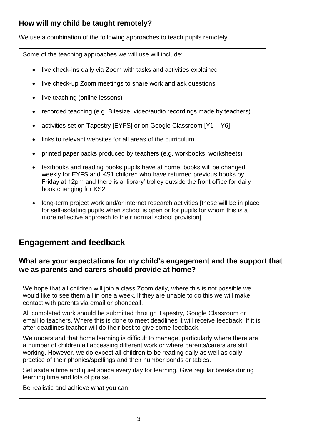# **How will my child be taught remotely?**

We use a combination of the following approaches to teach pupils remotely:

Some of the teaching approaches we will use will include:

- live check-ins daily via Zoom with tasks and activities explained
- live check-up Zoom meetings to share work and ask questions
- live teaching (online lessons)
- recorded teaching (e.g. Bitesize, video/audio recordings made by teachers)
- activities set on Tapestry [EYFS] or on Google Classroom [Y1 Y6]
- links to relevant websites for all areas of the curriculum
- printed paper packs produced by teachers (e.g. workbooks, worksheets)
- textbooks and reading books pupils have at home, books will be changed weekly for EYFS and KS1 children who have returned previous books by Friday at 12pm and there is a 'library' trolley outside the front office for daily book changing for KS2
- long-term project work and/or internet research activities [these will be in place for self-isolating pupils when school is open or for pupils for whom this is a more reflective approach to their normal school provision]

# **Engagement and feedback**

### **What are your expectations for my child's engagement and the support that we as parents and carers should provide at home?**

We hope that all children will join a class Zoom daily, where this is not possible we would like to see them all in one a week. If they are unable to do this we will make contact with parents via email or phonecall.

All completed work should be submitted through Tapestry, Google Classroom or email to teachers. Where this is done to meet deadlines it will receive feedback. If it is after deadlines teacher will do their best to give some feedback.

We understand that home learning is difficult to manage, particularly where there are a number of children all accessing different work or where parents/carers are still working. However, we do expect all children to be reading daily as well as daily practice of their phonics/spellings and their number bonds or tables.

Set aside a time and quiet space every day for learning. Give regular breaks during learning time and lots of praise.

Be realistic and achieve what you can.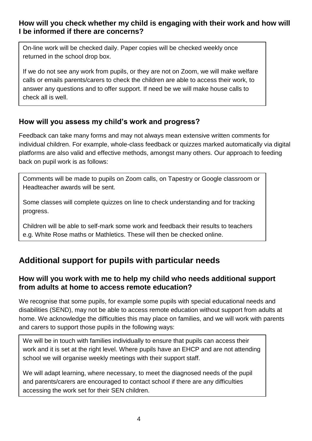### **How will you check whether my child is engaging with their work and how will I be informed if there are concerns?**

On-line work will be checked daily. Paper copies will be checked weekly once returned in the school drop box.

If we do not see any work from pupils, or they are not on Zoom, we will make welfare calls or emails parents/carers to check the children are able to access their work, to answer any questions and to offer support. If need be we will make house calls to check all is well.

## **How will you assess my child's work and progress?**

Feedback can take many forms and may not always mean extensive written comments for individual children. For example, whole-class feedback or quizzes marked automatically via digital platforms are also valid and effective methods, amongst many others. Our approach to feeding back on pupil work is as follows:

Comments will be made to pupils on Zoom calls, on Tapestry or Google classroom or Headteacher awards will be sent.

Some classes will complete quizzes on line to check understanding and for tracking progress.

Children will be able to self-mark some work and feedback their results to teachers e.g. White Rose maths or Mathletics. These will then be checked online.

# **Additional support for pupils with particular needs**

## **How will you work with me to help my child who needs additional support from adults at home to access remote education?**

We recognise that some pupils, for example some pupils with special educational needs and disabilities (SEND), may not be able to access remote education without support from adults at home. We acknowledge the difficulties this may place on families, and we will work with parents and carers to support those pupils in the following ways:

We will be in touch with families individually to ensure that pupils can access their work and it is set at the right level. Where pupils have an EHCP and are not attending school we will organise weekly meetings with their support staff.

We will adapt learning, where necessary, to meet the diagnosed needs of the pupil and parents/carers are encouraged to contact school if there are any difficulties accessing the work set for their SEN children.